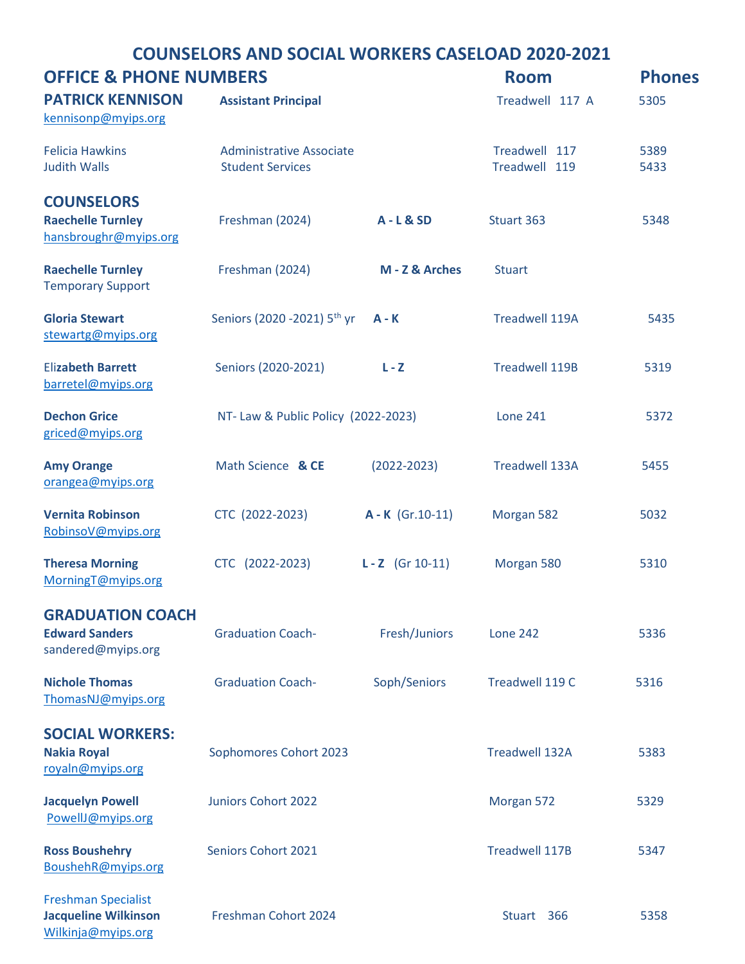## COUNSELORS AND SOCIAL WORKERS CASELOAD 2020-2021

| <b>OFFICE &amp; PHONE NUMBERS</b>                                               |                                                            |                    | <b>Room</b>                    | <b>Phones</b> |
|---------------------------------------------------------------------------------|------------------------------------------------------------|--------------------|--------------------------------|---------------|
| <b>PATRICK KENNISON</b><br>kennisonp@myips.org                                  | <b>Assistant Principal</b>                                 |                    | Treadwell 117 A                | 5305          |
| <b>Felicia Hawkins</b><br><b>Judith Walls</b>                                   | <b>Administrative Associate</b><br><b>Student Services</b> |                    | Treadwell 117<br>Treadwell 119 | 5389<br>5433  |
| <b>COUNSELORS</b><br><b>Raechelle Turnley</b><br>hansbroughr@myips.org          | Freshman (2024)                                            | <b>A-L&amp;SD</b>  | Stuart 363                     | 5348          |
| <b>Raechelle Turnley</b><br><b>Temporary Support</b>                            | Freshman (2024)                                            | M - Z & Arches     | <b>Stuart</b>                  |               |
| <b>Gloria Stewart</b><br>stewartg@myips.org                                     | Seniors (2020 - 2021) 5 <sup>th</sup> yr                   | $A - K$            | <b>Treadwell 119A</b>          | 5435          |
| <b>Elizabeth Barrett</b><br>barretel@myips.org                                  | Seniors (2020-2021)                                        | $L - Z$            | <b>Treadwell 119B</b>          | 5319          |
| <b>Dechon Grice</b><br>griced@myips.org                                         | NT- Law & Public Policy (2022-2023)                        |                    | <b>Lone 241</b>                | 5372          |
| <b>Amy Orange</b><br>orangea@myips.org                                          | Math Science & CE                                          | $(2022 - 2023)$    | <b>Treadwell 133A</b>          | 5455          |
| <b>Vernita Robinson</b><br>RobinsoV@myips.org                                   | CTC (2022-2023)                                            | $A - K$ (Gr.10-11) | Morgan 582                     | 5032          |
| <b>Theresa Morning</b><br>MorningT@myips.org                                    | CTC (2022-2023)                                            | $L - Z$ (Gr 10-11) | Morgan 580                     | 5310          |
| <b>GRADUATION COACH</b><br><b>Edward Sanders</b><br>sandered@myips.org          | <b>Graduation Coach-</b>                                   | Fresh/Juniors      | <b>Lone 242</b>                | 5336          |
| <b>Nichole Thomas</b><br>ThomasNJ@myips.org                                     | <b>Graduation Coach-</b>                                   | Soph/Seniors       | Treadwell 119 C                | 5316          |
| <b>SOCIAL WORKERS:</b><br><b>Nakia Royal</b><br>royaln@myips.org                | Sophomores Cohort 2023                                     |                    | <b>Treadwell 132A</b>          | 5383          |
| <b>Jacquelyn Powell</b><br>PowellJ@myips.org                                    | <b>Juniors Cohort 2022</b>                                 |                    | Morgan 572                     | 5329          |
| <b>Ross Boushehry</b><br>BoushehR@myips.org                                     | <b>Seniors Cohort 2021</b>                                 |                    | <b>Treadwell 117B</b>          | 5347          |
| <b>Freshman Specialist</b><br><b>Jacqueline Wilkinson</b><br>Wilkinja@myips.org | Freshman Cohort 2024                                       |                    | Stuart 366                     | 5358          |